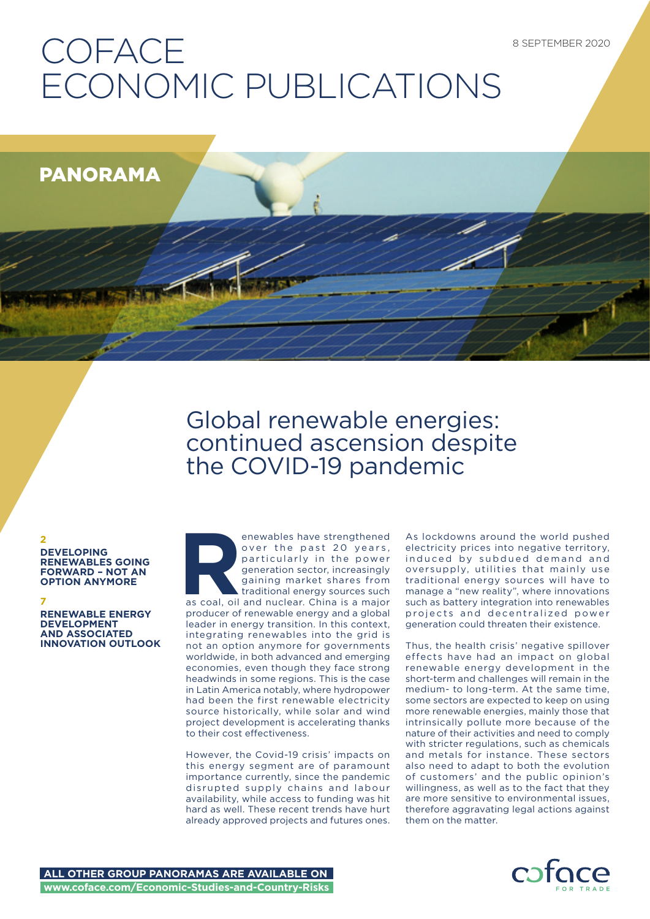# **COFACE** ECONOMIC PUBLICATIONS

PANORAMA

## Global renewable energies: continued ascension despite the COVID-19 pandemic

**2 DEVELOPING RENEWABLES GOING FORWARD – NOT AN OPTION ANYMORE**

## **7**

**RENEWABLE ENERGY DEVELOPMENT AND ASSOCIATED INNOVATION OUTLOOK** **Renewables have strengthened**<br>
over the past 20 years,<br>
particularly in the power<br>
generation sector, increasingly<br>
gaining market shares from<br>
as coal, oil and nuclear. China is a major<br>
producer of renewable energy and over the past 20 years, particularly in the power generation sector, increasingly gaining market shares from traditional energy sources such producer of renewable energy and a global leader in energy transition. In this context, integrating renewables into the grid is not an option anymore for governments worldwide, in both advanced and emerging economies, even though they face strong headwinds in some regions. This is the case in Latin America notably, where hydropower had been the first renewable electricity source historically, while solar and wind project development is accelerating thanks to their cost effectiveness.

However, the Covid-19 crisis' impacts on this energy segment are of paramount importance currently, since the pandemic disrupted supply chains and labour availability, while access to funding was hit hard as well. These recent trends have hurt already approved projects and futures ones.

As lockdowns around the world pushed electricity prices into negative territory, induced by subdued demand and oversupply, utilities that mainly use traditional energy sources will have to manage a "new reality", where innovations such as battery integration into renewables projects and decentralized power generation could threaten their existence.

Thus, the health crisis' negative spillover effects have had an impact on global renewable energy development in the short-term and challenges will remain in the medium- to long-term. At the same time, some sectors are expected to keep on using more renewable energies, mainly those that intrinsically pollute more because of the nature of their activities and need to comply with stricter regulations, such as chemicals and metals for instance. These sectors also need to adapt to both the evolution of customers' and the public opinion's willingness, as well as to the fact that they are more sensitive to environmental issues, therefore aggravating legal actions against them on the matter.

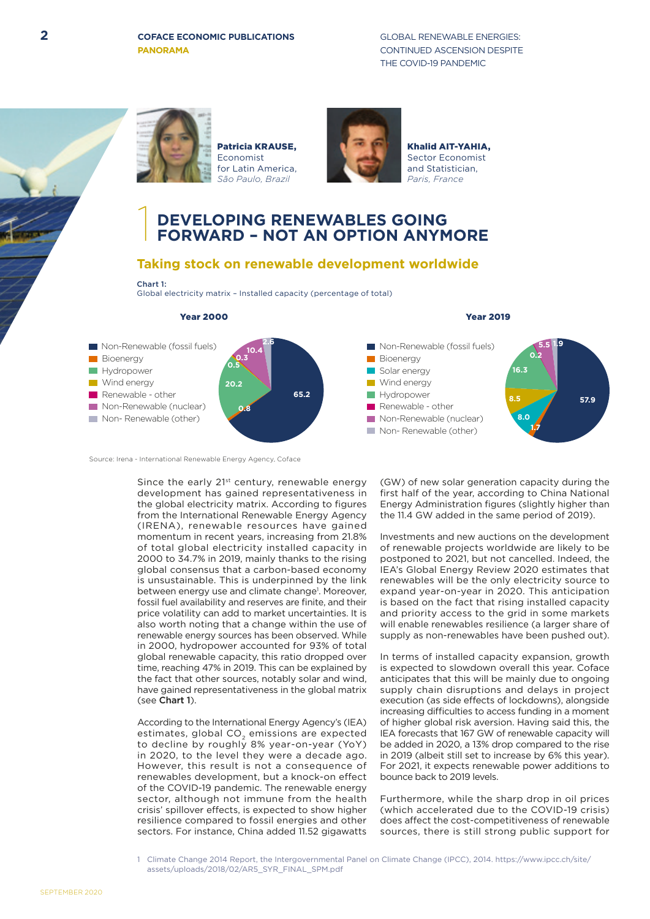**PANORAMA**

**2 COFACE ECONOMIC PUBLICATIONS GLOBAL RENEWABLE ENERGIES:** CONTINUED ASCENSION DESPITE THE COVID-19 PANDEMIC





Patricia KRAUSE, Economist for Latin America, *São Paulo, Brazil*



Khalid AIT-YAHIA, Sector Economist and Statistician, *Paris, France*

# 1 **DEVELOPING RENEWABLES GOING FORWARD – NOT AN OPTION ANYMORE**

## **Taking stock on renewable development worldwide**

## Chart 1:

Global electricity matrix – Installed capacity (percentage of total)



Year 2000 Year 2019

Source: Irena - International Renewable Energy Agency, Coface

Since the early 21<sup>st</sup> century, renewable energy development has gained representativeness in the global electricity matrix. According to figures from the International Renewable Energy Agency (IRENA), renewable resources have gained momentum in recent years, increasing from 21.8% of total global electricity installed capacity in 2000 to 34.7% in 2019, mainly thanks to the rising global consensus that a carbon-based economy is unsustainable. This is underpinned by the link between energy use and climate change<sup>1</sup>. Moreover, fossil fuel availability and reserves are finite, and their price volatility can add to market uncertainties. It is also worth noting that a change within the use of renewable energy sources has been observed. While in 2000, hydropower accounted for 93% of total global renewable capacity, this ratio dropped over time, reaching 47% in 2019. This can be explained by the fact that other sources, notably solar and wind, have gained representativeness in the global matrix (see Chart 1).

According to the International Energy Agency's (IEA) estimates, global CO<sub>2</sub> emissions are expected to decline by roughly 8% year-on-year (YoY) in 2020, to the level they were a decade ago. However, this result is not a consequence of renewables development, but a knock-on effect of the COVID-19 pandemic. The renewable energy sector, although not immune from the health crisis' spillover effects, is expected to show higher resilience compared to fossil energies and other sectors. For instance, China added 11.52 gigawatts (GW) of new solar generation capacity during the first half of the year, according to China National Energy Administration figures (slightly higher than the 11.4 GW added in the same period of 2019).

Investments and new auctions on the development of renewable projects worldwide are likely to be postponed to 2021, but not cancelled. Indeed, the IEA's Global Energy Review 2020 estimates that renewables will be the only electricity source to expand year-on-year in 2020. This anticipation is based on the fact that rising installed capacity and priority access to the grid in some markets will enable renewables resilience (a larger share of supply as non-renewables have been pushed out).

In terms of installed capacity expansion, growth is expected to slowdown overall this year. Coface anticipates that this will be mainly due to ongoing supply chain disruptions and delays in project execution (as side effects of lockdowns), alongside increasing difficulties to access funding in a moment of higher global risk aversion. Having said this, the IEA forecasts that 167 GW of renewable capacity will be added in 2020, a 13% drop compared to the rise in 2019 (albeit still set to increase by 6% this year). For 2021, it expects renewable power additions to bounce back to 2019 levels.

Furthermore, while the sharp drop in oil prices (which accelerated due to the COVID-19 crisis) does affect the cost-competitiveness of renewable sources, there is still strong public support for

1 Climate Change 2014 Report, the Intergovernmental Panel on Climate Change (IPCC), 2014. https://www.ipcc.ch/site/ assets/uploads/2018/02/AR5\_SYR\_FINAL\_SPM.pdf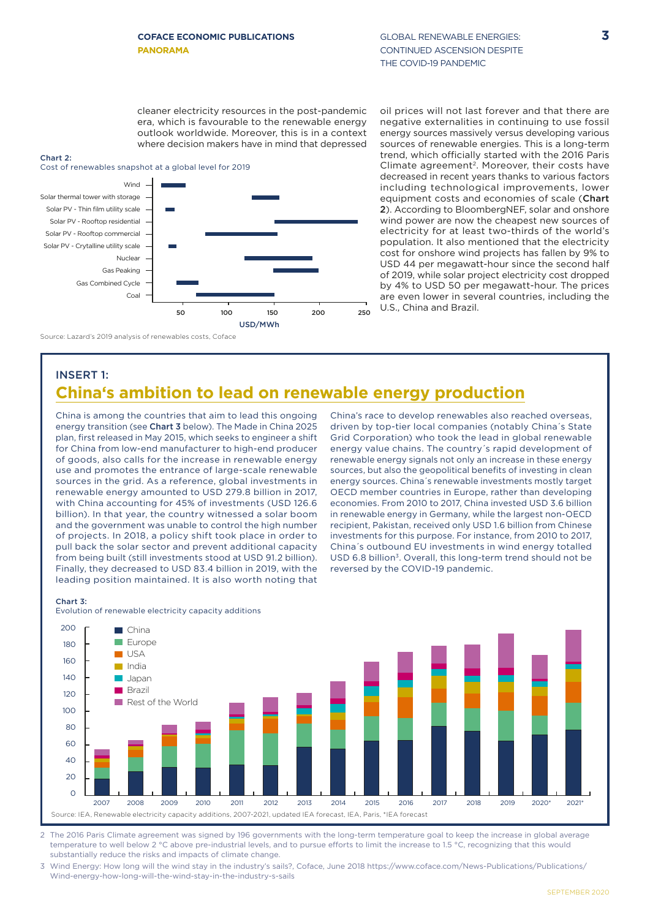cleaner electricity resources in the post-pandemic era, which is favourable to the renewable energy outlook worldwide. Moreover, this is in a context where decision makers have in mind that depressed

#### Chart 2:

INSERT 1:



Source: Lazard's 2019 analysis of renewables costs, Coface

oil prices will not last forever and that there are negative externalities in continuing to use fossil energy sources massively versus developing various sources of renewable energies. This is a long-term trend, which officially started with the 2016 Paris Climate agreement<sup>2</sup>. Moreover, their costs have decreased in recent years thanks to various factors including technological improvements, lower equipment costs and economies of scale (Chart 2). According to BloombergNEF, solar and onshore wind power are now the cheapest new sources of electricity for at least two-thirds of the world's population. It also mentioned that the electricity cost for onshore wind projects has fallen by 9% to USD 44 per megawatt-hour since the second half of 2019, while solar project electricity cost dropped by 4% to USD 50 per megawatt-hour. The prices are even lower in several countries, including the U.S., China and Brazil.

# **China's ambition to lead on renewable energy production**

China is among the countries that aim to lead this ongoing energy transition (see Chart 3 below). The Made in China 2025 plan, first released in May 2015, which seeks to engineer a shift for China from low-end manufacturer to high-end producer of goods, also calls for the increase in renewable energy use and promotes the entrance of large-scale renewable sources in the grid. As a reference, global investments in renewable energy amounted to USD 279.8 billion in 2017, with China accounting for 45% of investments (USD 126.6 billion). In that year, the country witnessed a solar boom and the government was unable to control the high number of projects. In 2018, a policy shift took place in order to pull back the solar sector and prevent additional capacity from being built (still investments stood at USD 91.2 billion). Finally, they decreased to USD 83.4 billion in 2019, with the leading position maintained. It is also worth noting that

China's race to develop renewables also reached overseas, driven by top-tier local companies (notably China´s State Grid Corporation) who took the lead in global renewable energy value chains. The country´s rapid development of renewable energy signals not only an increase in these energy sources, but also the geopolitical benefits of investing in clean energy sources. China´s renewable investments mostly target OECD member countries in Europe, rather than developing economies. From 2010 to 2017, China invested USD 3.6 billion in renewable energy in Germany, while the largest non-OECD recipient, Pakistan, received only USD 1.6 billion from Chinese investments for this purpose. For instance, from 2010 to 2017, China´s outbound EU investments in wind energy totalled USD 6.8 billion<sup>3</sup>. Overall, this long-term trend should not be reversed by the COVID-19 pandemic.



2 The 2016 Paris Climate agreement was signed by 196 governments with the long-term temperature goal to keep the increase in global average temperature to well below 2 °C above pre-industrial levels, and to pursue efforts to limit the increase to 1.5 °C, recognizing that this would substantially reduce the risks and impacts of climate change.

3 Wind Energy: How long will the wind stay in the industry's sails?, Coface, June 2018 https://www.coface.com/News-Publications/Publications/ Wind-energy-how-long-will-the-wind-stay-in-the-industry-s-sails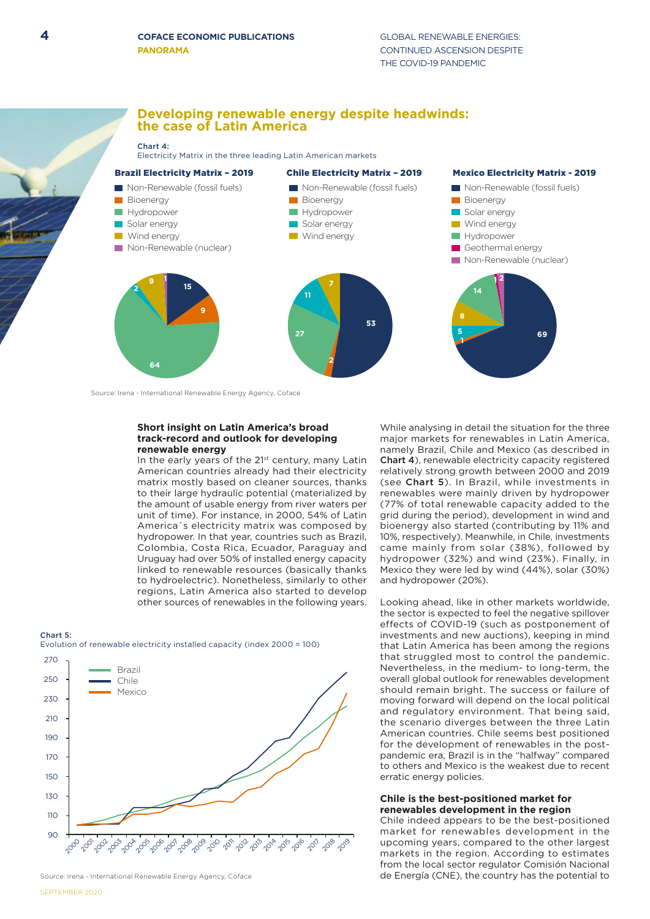## **Developing renewable energy despite headwinds: the case of Latin America**

#### Chart 4:

Electricity Matrix in the three leading Latin American markets



Source: Irena - International Renewable Energy Agency, Coface

#### **Short insight on Latin America's broad track-record and outlook for developing renewable energy**

In the early years of the 21<sup>st</sup> century, many Latin American countries already had their electricity matrix mostly based on cleaner sources, thanks to their large hydraulic potential (materialized by the amount of usable energy from river waters per unit of time). For instance, in 2000, 54% of Latin America´s electricity matrix was composed by hydropower. In that year, countries such as Brazil, Colombia, Costa Rica, Ecuador, Paraguay and Uruguay had over 50% of installed energy capacity linked to renewable resources (basically thanks to hydroelectric). Nonetheless, similarly to other regions, Latin America also started to develop other sources of renewables in the following years.

#### Chart 5:



Source: Irena - International Renewable Energy Agency, Coface

While analysing in detail the situation for the three major markets for renewables in Latin America, namely Brazil, Chile and Mexico (as described in Chart 4), renewable electricity capacity registered relatively strong growth between 2000 and 2019 (see Chart 5). In Brazil, while investments in renewables were mainly driven by hydropower (77% of total renewable capacity added to the grid during the period), development in wind and bioenergy also started (contributing by 11% and 10%, respectively). Meanwhile, in Chile, investments came mainly from solar (38%), followed by hydropower (32%) and wind (23%). Finally, in Mexico they were led by wind (44%), solar (30%) and hydropower (20%).

Looking ahead, like in other markets worldwide, the sector is expected to feel the negative spillover effects of COVID-19 (such as postponement of investments and new auctions), keeping in mind that Latin America has been among the regions that struggled most to control the pandemic. Nevertheless, in the medium- to long-term, the overall global outlook for renewables development should remain bright. The success or failure of moving forward will depend on the local political and regulatory environment. That being said, the scenario diverges between the three Latin American countries. Chile seems best positioned for the development of renewables in the postpandemic era, Brazil is in the "halfway" compared to others and Mexico is the weakest due to recent erratic energy policies.

#### **Chile is the best-positioned market for renewables development in the region**

Chile indeed appears to be the best-positioned market for renewables development in the upcoming years, compared to the other largest markets in the region. According to estimates from the local sector regulator Comisión Nacional de Energía (CNE), the country has the potential to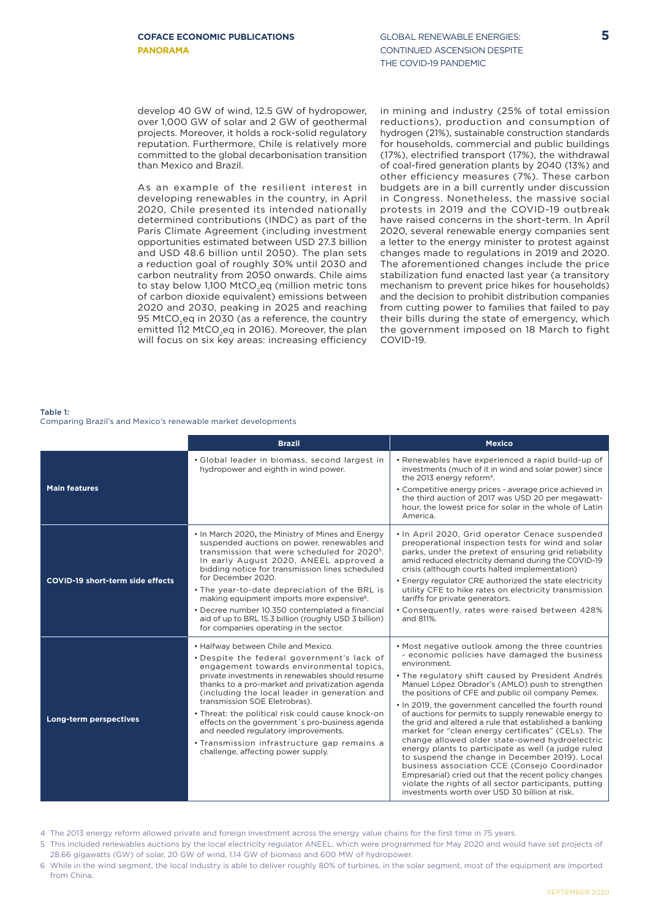develop 40 GW of wind, 12.5 GW of hydropower, over 1,000 GW of solar and 2 GW of geothermal projects. Moreover, it holds a rock-solid regulatory reputation. Furthermore, Chile is relatively more committed to the global decarbonisation transition than Mexico and Brazil.

As an example of the resilient interest in developing renewables in the country, in April 2020, Chile presented its intended nationally determined contributions (INDC) as part of the Paris Climate Agreement (including investment opportunities estimated between USD 27.3 billion and USD 48.6 billion until 2050). The plan sets a reduction goal of roughly 30% until 2030 and carbon neutrality from 2050 onwards. Chile aims to stay below 1,100 MtCO<sub>2</sub>eq (million metric tons of carbon dioxide equivalent) emissions between 2020 and 2030, peaking in 2025 and reaching 95 MtCO<sub>2</sub>eq in 2030 (as a reference, the country emitted 112 MtCO<sub>2</sub>eq in 2016). Moreover, the plan will focus on six key areas: increasing efficiency

in mining and industry (25% of total emission reductions), production and consumption of hydrogen (21%), sustainable construction standards for households, commercial and public buildings (17%), electrified transport (17%), the withdrawal of coal-fired generation plants by 2040 (13%) and other efficiency measures (7%). These carbon budgets are in a bill currently under discussion in Congress. Nonetheless, the massive social protests in 2019 and the COVID-19 outbreak have raised concerns in the short-term. In April 2020, several renewable energy companies sent a letter to the energy minister to protest against changes made to regulations in 2019 and 2020. The aforementioned changes include the price stabilization fund enacted last year (a transitory mechanism to prevent price hikes for households) and the decision to prohibit distribution companies from cutting power to families that failed to pay their bills during the state of emergency, which the government imposed on 18 March to fight COVID-19.

Table 1: Comparing Brazil's and Mexico's renewable market developments

|                                         | <b>Brazil</b>                                                                                                                                                                                                                                                                                                                                                                                                                                                                                                                                             | <b>Mexico</b>                                                                                                                                                                                                                                                                                                                                                                                                                                                                                                                                                                                                                                                                                                                                                                                                                                                                                       |
|-----------------------------------------|-----------------------------------------------------------------------------------------------------------------------------------------------------------------------------------------------------------------------------------------------------------------------------------------------------------------------------------------------------------------------------------------------------------------------------------------------------------------------------------------------------------------------------------------------------------|-----------------------------------------------------------------------------------------------------------------------------------------------------------------------------------------------------------------------------------------------------------------------------------------------------------------------------------------------------------------------------------------------------------------------------------------------------------------------------------------------------------------------------------------------------------------------------------------------------------------------------------------------------------------------------------------------------------------------------------------------------------------------------------------------------------------------------------------------------------------------------------------------------|
| <b>Main features</b>                    | • Global leader in biomass, second largest in<br>hydropower and eighth in wind power.                                                                                                                                                                                                                                                                                                                                                                                                                                                                     | • Renewables have experienced a rapid build-up of<br>investments (much of it in wind and solar power) since<br>the 2013 energy reform <sup>4</sup> .<br>• Competitive energy prices - average price achieved in<br>the third auction of 2017 was USD 20 per megawatt-<br>hour, the lowest price for solar in the whole of Latin<br>America.                                                                                                                                                                                                                                                                                                                                                                                                                                                                                                                                                         |
| <b>COVID-19 short-term side effects</b> | . In March 2020, the Ministry of Mines and Energy<br>suspended auctions on power, renewables and<br>transmission that were scheduled for 2020 <sup>5</sup> .<br>In early August 2020, ANEEL approved a<br>bidding notice for transmission lines scheduled<br>for December 2020.<br>. The year-to-date depreciation of the BRL is<br>making equipment imports more expensive <sup>6</sup> .<br>• Decree number 10.350 contemplated a financial<br>aid of up to BRL 15.3 billion (roughly USD 3 billion)<br>for companies operating in the sector.          | . In April 2020, Grid operator Cenace suspended<br>preoperational inspection tests for wind and solar<br>parks, under the pretext of ensuring grid reliability<br>amid reduced electricity demand during the COVID-19<br>crisis (although courts halted implementation)<br>. Energy regulator CRE authorized the state electricity<br>utility CFE to hike rates on electricity transmission<br>tariffs for private generators.<br>• Consequently, rates were raised between 428%<br>and 811%.                                                                                                                                                                                                                                                                                                                                                                                                       |
| Long-term perspectives                  | • Halfway between Chile and Mexico.<br>. Despite the federal government's lack of<br>engagement towards environmental topics,<br>private investments in renewables should resume<br>thanks to a pro-market and privatization agenda<br>(including the local leader in generation and<br>transmission SOE Eletrobras).<br>. Threat: the political risk could cause knock-on<br>effects on the government's pro-business agenda<br>and needed regulatory improvements.<br>• Transmission infrastructure gap remains a<br>challenge, affecting power supply. | . Most negative outlook among the three countries<br>- economic policies have damaged the business<br>environment.<br>. The regulatory shift caused by President Andrés<br>Manuel López Obrador's (AMLO) push to strengthen<br>the positions of CFE and public oil company Pemex.<br>. In 2019, the government cancelled the fourth round<br>of auctions for permits to supply renewable energy to<br>the grid and altered a rule that established a banking<br>market for "clean energy certificates" (CELs). The<br>change allowed older state-owned hydroelectric<br>energy plants to participate as well (a judge ruled<br>to suspend the change in December 2019). Local<br>business association CCE (Consejo Coordinador<br>Empresarial) cried out that the recent policy changes<br>violate the rights of all sector participants, putting<br>investments worth over USD 30 billion at risk. |

- 4 The 2013 energy reform allowed private and foreign investment across the energy value chains for the first time in 75 years.
- 5 This included renewables auctions by the local electricity regulator ANEEL, which were programmed for May 2020 and would have set projects of 28.66 gigawatts (GW) of solar, 20 GW of wind, 1.14 GW of biomass and 600 MW of hydropower.
- 6 While in the wind segment, the local industry is able to deliver roughly 80% of turbines, in the solar segment, most of the equipment are imported from China.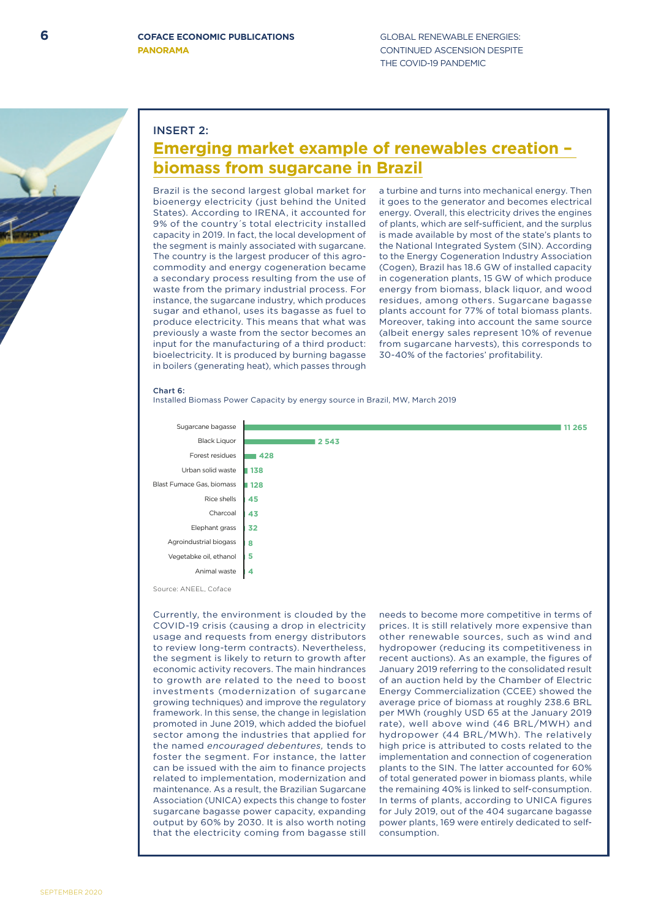SEPTEMBER 2020

## INSERT 2:

## **Emerging market example of renewables creation – biomass from sugarcane in Brazil**

Brazil is the second largest global market for bioenergy electricity (just behind the United States). According to IRENA, it accounted for 9% of the country´s total electricity installed capacity in 2019. In fact, the local development of the segment is mainly associated with sugarcane. The country is the largest producer of this agrocommodity and energy cogeneration became a secondary process resulting from the use of waste from the primary industrial process. For instance, the sugarcane industry, which produces sugar and ethanol, uses its bagasse as fuel to produce electricity. This means that what was previously a waste from the sector becomes an input for the manufacturing of a third product: bioelectricity. It is produced by burning bagasse in boilers (generating heat), which passes through

a turbine and turns into mechanical energy. Then it goes to the generator and becomes electrical energy. Overall, this electricity drives the engines of plants, which are self-sufficient, and the surplus is made available by most of the state's plants to the National Integrated System (SIN). According to the Energy Cogeneration Industry Association (Cogen), Brazil has 18.6 GW of installed capacity in cogeneration plants, 15 GW of which produce energy from biomass, black liquor, and wood residues, among others. Sugarcane bagasse plants account for 77% of total biomass plants. Moreover, taking into account the same source (albeit energy sales represent 10% of revenue from sugarcane harvests), this corresponds to 30-40% of the factories' profitability.

## Chart 6:

Installed Biomass Power Capacity by energy source in Brazil, MW, March 2019



Source: ANEEL, Coface

Currently, the environment is clouded by the COVID-19 crisis (causing a drop in electricity usage and requests from energy distributors to review long-term contracts). Nevertheless, the segment is likely to return to growth after economic activity recovers. The main hindrances to growth are related to the need to boost investments (modernization of sugarcane growing techniques) and improve the regulatory framework. In this sense, the change in legislation promoted in June 2019, which added the biofuel sector among the industries that applied for the named *encouraged debentures,* tends to foster the segment. For instance, the latter can be issued with the aim to finance projects related to implementation, modernization and maintenance. As a result, the Brazilian Sugarcane Association (UNICA) expects this change to foster sugarcane bagasse power capacity, expanding output by 60% by 2030. It is also worth noting that the electricity coming from bagasse still

needs to become more competitive in terms of prices. It is still relatively more expensive than other renewable sources, such as wind and hydropower (reducing its competitiveness in recent auctions). As an example, the figures of January 2019 referring to the consolidated result of an auction held by the Chamber of Electric Energy Commercialization (CCEE) showed the average price of biomass at roughly 238.6 BRL per MWh (roughly USD 65 at the January 2019 rate), well above wind (46 BRL/MWH) and hydropower (44 BRL/MWh). The relatively high price is attributed to costs related to the implementation and connection of cogeneration plants to the SIN. The latter accounted for 60% of total generated power in biomass plants, while the remaining 40% is linked to self-consumption. In terms of plants, according to UNICA figures for July 2019, out of the 404 sugarcane bagasse power plants, 169 were entirely dedicated to selfconsumption.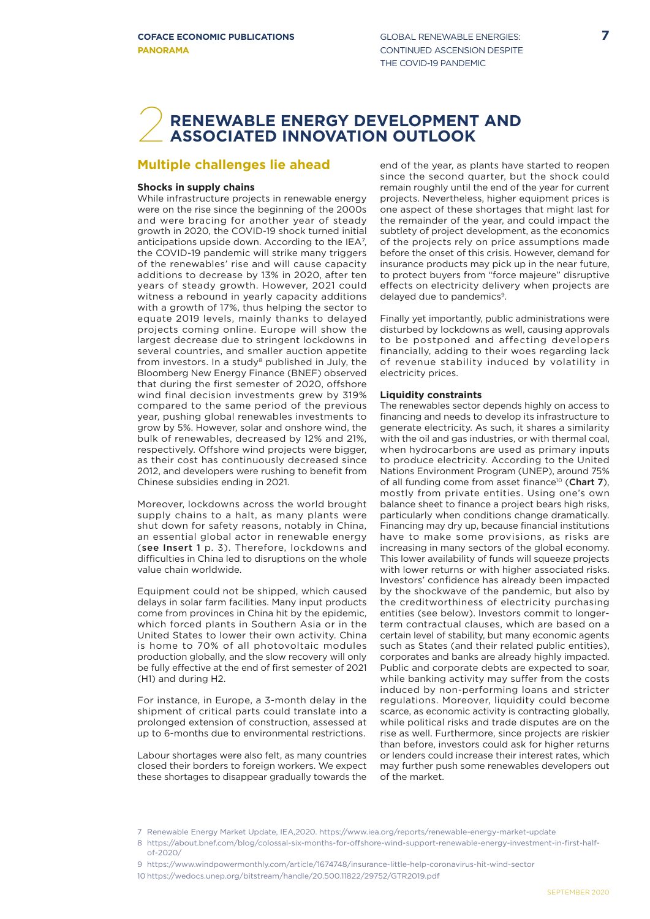## **RENEWABLE ENERGY DEVELOPMENT AND ASSOCIATED INNOVATION OUTLOOK**

## **Multiple challenges lie ahead**

## **Shocks in supply chains**

While infrastructure projects in renewable energy were on the rise since the beginning of the 2000s and were bracing for another year of steady growth in 2020, the COVID-19 shock turned initial anticipations upside down. According to the IEA<sup>7</sup>, the COVID-19 pandemic will strike many triggers of the renewables' rise and will cause capacity additions to decrease by 13% in 2020, after ten years of steady growth. However, 2021 could witness a rebound in yearly capacity additions with a growth of 17%, thus helping the sector to equate 2019 levels, mainly thanks to delayed projects coming online. Europe will show the largest decrease due to stringent lockdowns in several countries, and smaller auction appetite from investors. In a study<sup>8</sup> published in July, the Bloomberg New Energy Finance (BNEF) observed that during the first semester of 2020, offshore wind final decision investments grew by 319% compared to the same period of the previous year, pushing global renewables investments to grow by 5%. However, solar and onshore wind, the bulk of renewables, decreased by 12% and 21%, respectively. Offshore wind projects were bigger, as their cost has continuously decreased since 2012, and developers were rushing to benefit from Chinese subsidies ending in 2021.

Moreover, lockdowns across the world brought supply chains to a halt, as many plants were shut down for safety reasons, notably in China, an essential global actor in renewable energy (see Insert 1 p. 3). Therefore, lockdowns and difficulties in China led to disruptions on the whole value chain worldwide.

Equipment could not be shipped, which caused delays in solar farm facilities. Many input products come from provinces in China hit by the epidemic, which forced plants in Southern Asia or in the United States to lower their own activity. China is home to 70% of all photovoltaic modules production globally, and the slow recovery will only be fully effective at the end of first semester of 2021 (H1) and during H2.

For instance, in Europe, a 3-month delay in the shipment of critical parts could translate into a prolonged extension of construction, assessed at up to 6-months due to environmental restrictions.

Labour shortages were also felt, as many countries closed their borders to foreign workers. We expect these shortages to disappear gradually towards the

end of the year, as plants have started to reopen since the second quarter, but the shock could remain roughly until the end of the year for current projects. Nevertheless, higher equipment prices is one aspect of these shortages that might last for the remainder of the year, and could impact the subtlety of project development, as the economics of the projects rely on price assumptions made before the onset of this crisis. However, demand for insurance products may pick up in the near future, to protect buyers from "force majeure" disruptive effects on electricity delivery when projects are delayed due to pandemics<sup>9</sup>.

Finally yet importantly, public administrations were disturbed by lockdowns as well, causing approvals to be postponed and affecting developers financially, adding to their woes regarding lack of revenue stability induced by volatility in electricity prices.

## **Liquidity constraints**

The renewables sector depends highly on access to financing and needs to develop its infrastructure to generate electricity. As such, it shares a similarity with the oil and gas industries, or with thermal coal. when hydrocarbons are used as primary inputs to produce electricity. According to the United Nations Environment Program (UNEP), around 75% of all funding come from asset finance<sup>10</sup> (Chart 7). mostly from private entities. Using one's own balance sheet to finance a project bears high risks, particularly when conditions change dramatically. Financing may dry up, because financial institutions have to make some provisions, as risks are increasing in many sectors of the global economy. This lower availability of funds will squeeze projects with lower returns or with higher associated risks. Investors' confidence has already been impacted by the shockwave of the pandemic, but also by the creditworthiness of electricity purchasing entities (see below). Investors commit to longerterm contractual clauses, which are based on a certain level of stability, but many economic agents such as States (and their related public entities), corporates and banks are already highly impacted. Public and corporate debts are expected to soar, while banking activity may suffer from the costs induced by non-performing loans and stricter regulations. Moreover, liquidity could become scarce, as economic activity is contracting globally, while political risks and trade disputes are on the rise as well. Furthermore, since projects are riskier than before, investors could ask for higher returns or lenders could increase their interest rates, which may further push some renewables developers out of the market.

<sup>7</sup> Renewable Energy Market Update, IEA,2020. https://www.iea.org/reports/renewable-energy-market-update

<sup>8</sup> https://about.bnef.com/blog/colossal-six-months-for-offshore-wind-support-renewable-energy-investment-in-first-halfof-2020/

<sup>9</sup> https://www.windpowermonthly.com/article/1674748/insurance-little-help-coronavirus-hit-wind-sector

<sup>10</sup> https://wedocs.unep.org/bitstream/handle/20.500.11822/29752/GTR2019.pdf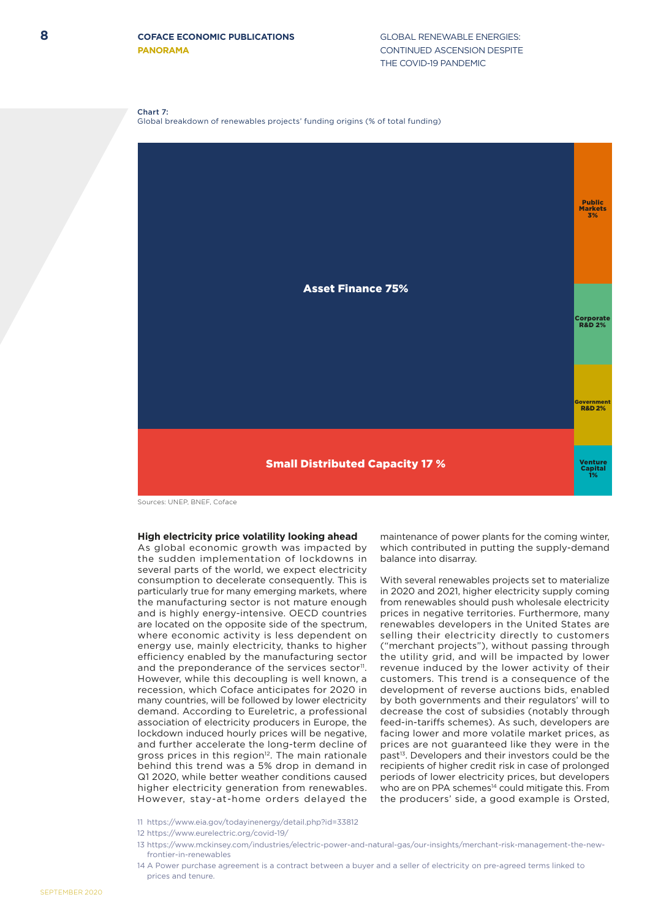Chart 7:

Global breakdown of renewables projects' funding origins (% of total funding)



Sources: UNEP, BNEF, Coface

## **High electricity price volatility looking ahead**

As global economic growth was impacted by the sudden implementation of lockdowns in several parts of the world, we expect electricity consumption to decelerate consequently. This is particularly true for many emerging markets, where the manufacturing sector is not mature enough and is highly energy-intensive. OECD countries are located on the opposite side of the spectrum, where economic activity is less dependent on energy use, mainly electricity, thanks to higher efficiency enabled by the manufacturing sector and the preponderance of the services sector<sup>11</sup>. However, while this decoupling is well known, a recession, which Coface anticipates for 2020 in many countries, will be followed by lower electricity demand. According to Eureletric, a professional association of electricity producers in Europe, the lockdown induced hourly prices will be negative, and further accelerate the long-term decline of gross prices in this region<sup>12</sup>. The main rationale behind this trend was a 5% drop in demand in Q1 2020, while better weather conditions caused higher electricity generation from renewables. However, stay-at-home orders delayed the

maintenance of power plants for the coming winter, which contributed in putting the supply-demand balance into disarray.

With several renewables projects set to materialize in 2020 and 2021, higher electricity supply coming from renewables should push wholesale electricity prices in negative territories. Furthermore, many renewables developers in the United States are selling their electricity directly to customers ("merchant projects"), without passing through the utility grid, and will be impacted by lower revenue induced by the lower activity of their customers. This trend is a consequence of the development of reverse auctions bids, enabled by both governments and their regulators' will to decrease the cost of subsidies (notably through feed-in-tariffs schemes). As such, developers are facing lower and more volatile market prices, as prices are not guaranteed like they were in the past<sup>13</sup>. Developers and their investors could be the recipients of higher credit risk in case of prolonged periods of lower electricity prices, but developers who are on PPA schemes<sup>14</sup> could mitigate this. From the producers' side, a good example is Orsted,

11 https://www.eia.gov/todayinenergy/detail.php?id=33812

14 A Power purchase agreement is a contract between a buyer and a seller of electricity on pre-agreed terms linked to prices and tenure.

<sup>12</sup> https://www.eurelectric.org/covid-19/

<sup>13</sup> https://www.mckinsey.com/industries/electric-power-and-natural-gas/our-insights/merchant-risk-management-the-newfrontier-in-renewables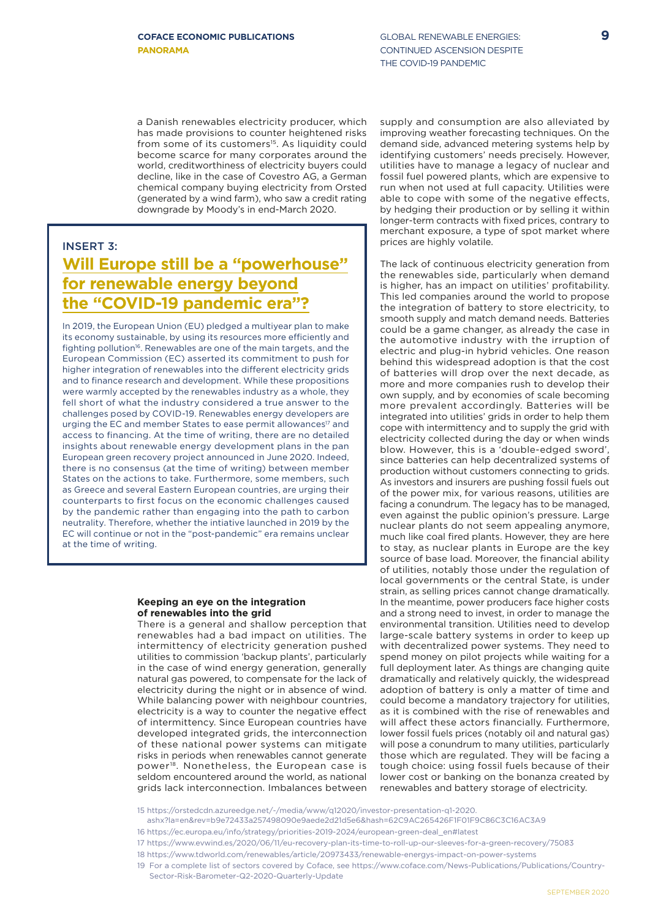a Danish renewables electricity producer, which has made provisions to counter heightened risks from some of its customers<sup>15</sup>. As liquidity could become scarce for many corporates around the world, creditworthiness of electricity buyers could decline, like in the case of Covestro AG, a German chemical company buying electricity from Orsted (generated by a wind farm), who saw a credit rating downgrade by Moody's in end-March 2020.

## INSERT 3: **Will Europe still be a "powerhouse" for renewable energy beyond the "COVID-19 pandemic era"?**

In 2019, the European Union (EU) pledged a multiyear plan to make its economy sustainable, by using its resources more efficiently and fighting pollution<sup>16</sup>. Renewables are one of the main targets, and the European Commission (EC) asserted its commitment to push for higher integration of renewables into the different electricity grids and to finance research and development. While these propositions were warmly accepted by the renewables industry as a whole, they fell short of what the industry considered a true answer to the challenges posed by COVID-19. Renewables energy developers are urging the EC and member States to ease permit allowances<sup>17</sup> and access to financing. At the time of writing, there are no detailed insights about renewable energy development plans in the pan European green recovery project announced in June 2020. Indeed, there is no consensus (at the time of writing) between member States on the actions to take. Furthermore, some members, such as Greece and several Eastern European countries, are urging their counterparts to first focus on the economic challenges caused by the pandemic rather than engaging into the path to carbon neutrality. Therefore, whether the intiative launched in 2019 by the EC will continue or not in the "post-pandemic" era remains unclear at the time of writing.

## **Keeping an eye on the integration of renewables into the grid**

There is a general and shallow perception that renewables had a bad impact on utilities. The intermittency of electricity generation pushed utilities to commission 'backup plants', particularly in the case of wind energy generation, generally natural gas powered, to compensate for the lack of electricity during the night or in absence of wind. While balancing power with neighbour countries, electricity is a way to counter the negative effect of intermittency. Since European countries have developed integrated grids, the interconnection of these national power systems can mitigate risks in periods when renewables cannot generate power18. Nonetheless, the European case is seldom encountered around the world, as national grids lack interconnection. Imbalances between

supply and consumption are also alleviated by improving weather forecasting techniques. On the demand side, advanced metering systems help by identifying customers' needs precisely. However, utilities have to manage a legacy of nuclear and fossil fuel powered plants, which are expensive to run when not used at full capacity. Utilities were able to cope with some of the negative effects, by hedging their production or by selling it within longer-term contracts with fixed prices, contrary to merchant exposure, a type of spot market where prices are highly volatile.

The lack of continuous electricity generation from the renewables side, particularly when demand is higher, has an impact on utilities' profitability. This led companies around the world to propose the integration of battery to store electricity, to smooth supply and match demand needs. Batteries could be a game changer, as already the case in the automotive industry with the irruption of electric and plug-in hybrid vehicles. One reason behind this widespread adoption is that the cost of batteries will drop over the next decade, as more and more companies rush to develop their own supply, and by economies of scale becoming more prevalent accordingly. Batteries will be integrated into utilities' grids in order to help them cope with intermittency and to supply the grid with electricity collected during the day or when winds blow. However, this is a 'double-edged sword', since batteries can help decentralized systems of production without customers connecting to grids. As investors and insurers are pushing fossil fuels out of the power mix, for various reasons, utilities are facing a conundrum. The legacy has to be managed, even against the public opinion's pressure. Large nuclear plants do not seem appealing anymore, much like coal fired plants. However, they are here to stay, as nuclear plants in Europe are the key source of base load. Moreover, the financial ability of utilities, notably those under the regulation of local governments or the central State, is under strain, as selling prices cannot change dramatically. In the meantime, power producers face higher costs and a strong need to invest, in order to manage the environmental transition. Utilities need to develop large-scale battery systems in order to keep up with decentralized power systems. They need to spend money on pilot projects while waiting for a full deployment later. As things are changing quite dramatically and relatively quickly, the widespread adoption of battery is only a matter of time and could become a mandatory trajectory for utilities, as it is combined with the rise of renewables and will affect these actors financially. Furthermore, lower fossil fuels prices (notably oil and natural gas) will pose a conundrum to many utilities, particularly those which are regulated. They will be facing a tough choice: using fossil fuels because of their lower cost or banking on the bonanza created by renewables and battery storage of electricity.

<sup>15</sup> https://orstedcdn.azureedge.net/-/media/www/q12020/investor-presentation-q1-2020.

ashx?la=en&rev=b9e72433a257498090e9aede2d21d5e6&hash=62C9AC265426F1F01F9C86C3C16AC3A9

<sup>16</sup> https://ec.europa.eu/info/strategy/priorities-2019-2024/european-green-deal\_en#latest

<sup>17</sup> https://www.evwind.es/2020/06/11/eu-recovery-plan-its-time-to-roll-up-our-sleeves-for-a-green-recovery/75083

<sup>18</sup> https://www.tdworld.com/renewables/article/20973433/renewable-energys-impact-on-power-systems

<sup>19</sup> For a complete list of sectors covered by Coface, see https://www.coface.com/News-Publications/Publications/Country-

Sector-Risk-Barometer-Q2-2020-Quarterly-Update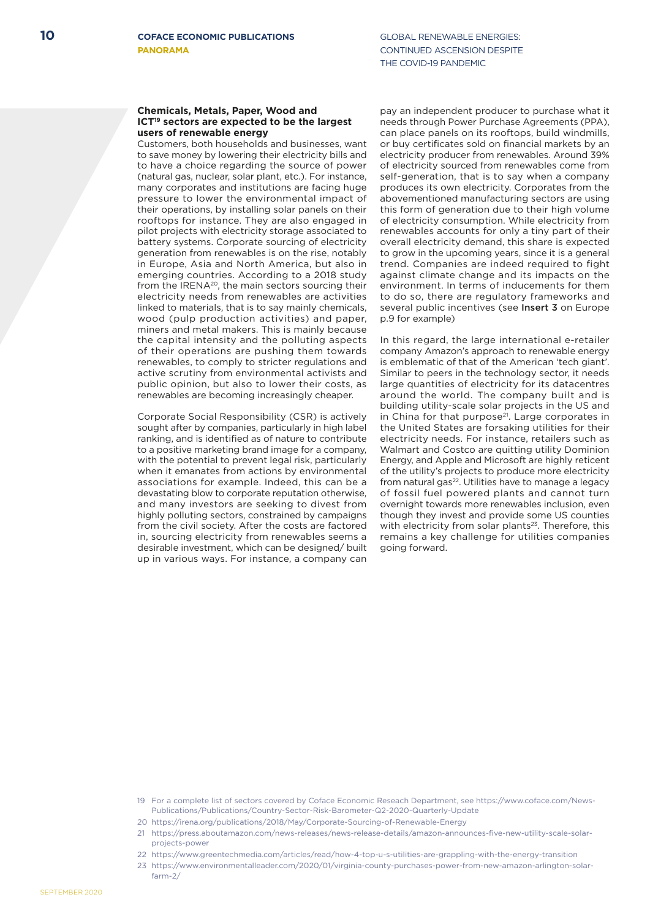## **Chemicals, Metals, Paper, Wood and ICT19 sectors are expected to be the largest users of renewable energy**

Customers, both households and businesses, want to save money by lowering their electricity bills and to have a choice regarding the source of power (natural gas, nuclear, solar plant, etc.). For instance, many corporates and institutions are facing huge pressure to lower the environmental impact of their operations, by installing solar panels on their rooftops for instance. They are also engaged in pilot projects with electricity storage associated to battery systems. Corporate sourcing of electricity generation from renewables is on the rise, notably in Europe, Asia and North America, but also in emerging countries. According to a 2018 study from the IRENA20, the main sectors sourcing their electricity needs from renewables are activities linked to materials, that is to say mainly chemicals, wood (pulp production activities) and paper, miners and metal makers. This is mainly because the capital intensity and the polluting aspects of their operations are pushing them towards renewables, to comply to stricter regulations and active scrutiny from environmental activists and public opinion, but also to lower their costs, as renewables are becoming increasingly cheaper.

Corporate Social Responsibility (CSR) is actively sought after by companies, particularly in high label ranking, and is identified as of nature to contribute to a positive marketing brand image for a company, with the potential to prevent legal risk, particularly when it emanates from actions by environmental associations for example. Indeed, this can be a devastating blow to corporate reputation otherwise, and many investors are seeking to divest from highly polluting sectors, constrained by campaigns from the civil society. After the costs are factored in, sourcing electricity from renewables seems a desirable investment, which can be designed/ built up in various ways. For instance, a company can

pay an independent producer to purchase what it needs through Power Purchase Agreements (PPA), can place panels on its rooftops, build windmills, or buy certificates sold on financial markets by an electricity producer from renewables. Around 39% of electricity sourced from renewables come from self-generation, that is to say when a company produces its own electricity. Corporates from the abovementioned manufacturing sectors are using this form of generation due to their high volume of electricity consumption. While electricity from renewables accounts for only a tiny part of their overall electricity demand, this share is expected to grow in the upcoming years, since it is a general trend. Companies are indeed required to fight against climate change and its impacts on the environment. In terms of inducements for them to do so, there are regulatory frameworks and several public incentives (see Insert 3 on Europe p.9 for example)

In this regard, the large international e-retailer company Amazon's approach to renewable energy is emblematic of that of the American 'tech giant'. Similar to peers in the technology sector, it needs large quantities of electricity for its datacentres around the world. The company built and is building utility-scale solar projects in the US and in China for that purpose<sup>21</sup>. Large corporates in the United States are forsaking utilities for their electricity needs. For instance, retailers such as Walmart and Costco are quitting utility Dominion Energy, and Apple and Microsoft are highly reticent of the utility's projects to produce more electricity from natural gas<sup>22</sup>. Utilities have to manage a legacy of fossil fuel powered plants and cannot turn overnight towards more renewables inclusion, even though they invest and provide some US counties with electricity from solar plants $23$ . Therefore, this remains a key challenge for utilities companies going forward.

- 19 For a complete list of sectors covered by Coface Economic Reseach Department, see https://www.coface.com/News-Publications/Publications/Country-Sector-Risk-Barometer-Q2-2020-Quarterly-Update
- 20 https://irena.org/publications/2018/May/Corporate-Sourcing-of-Renewable-Energy
- 21 https://press.aboutamazon.com/news-releases/news-release-details/amazon-announces-five-new-utility-scale-solarprojects-power
- 22 https://www.greentechmedia.com/articles/read/how-4-top-u-s-utilities-are-grappling-with-the-energy-transition
- 23 https://www.environmentalleader.com/2020/01/virginia-county-purchases-power-from-new-amazon-arlington-solarfarm-2/